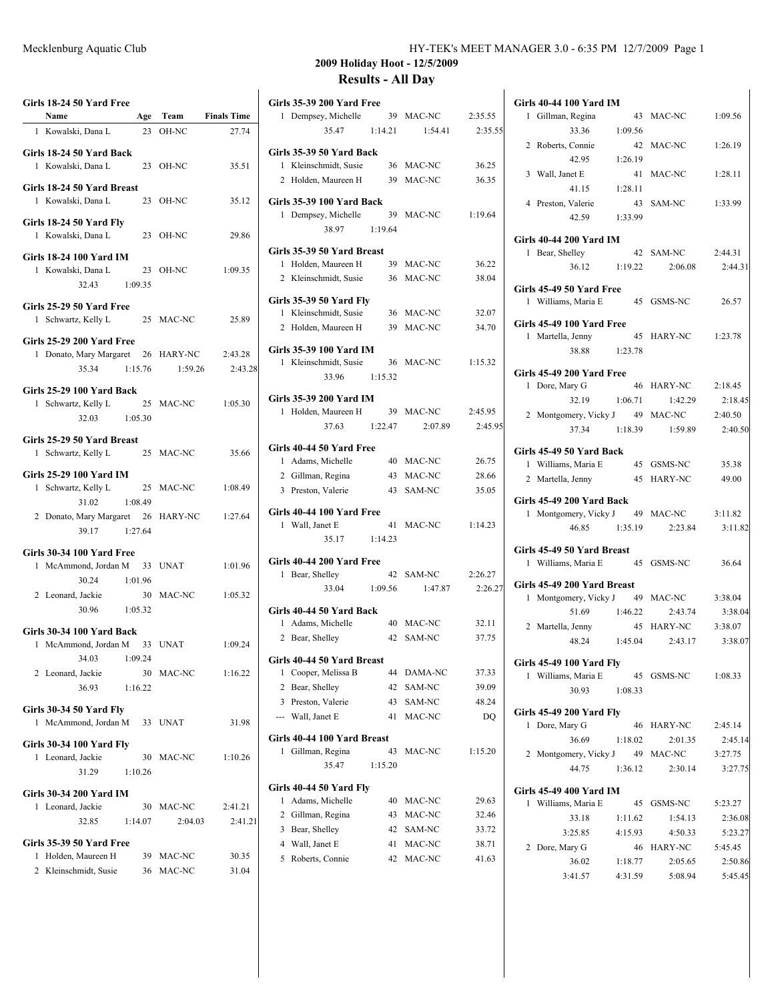| Girls 18-24 50 Yard Free<br>Name                                               |         |           | Age Team Finals Time          |
|--------------------------------------------------------------------------------|---------|-----------|-------------------------------|
| 1 Kowalski, Dana L                                                             |         | 23 OH-NC  | 27.74                         |
|                                                                                |         |           |                               |
| Girls 18-24 50 Yard Back<br>1 Kowalski, Dana L                                 |         | 23 OH-NC  | 35.51                         |
| Girls 18-24 50 Yard Breast<br>1 Kowalski, Dana L                               |         | 23 OH-NC  | 35.12                         |
| Girls 18-24 50 Yard Fly<br>1 Kowalski, Dana L                                  |         | 23 OH-NC  | 29.86                         |
| <b>Girls 18-24 100 Yard IM</b><br>1 Kowalski, Dana L<br>32.43 1:09.35          |         | 23 OH-NC  | 1:09.35                       |
| Girls 25-29 50 Yard Free<br>1 Schwartz, Kelly L 25 MAC-NC                      |         |           | 25.89                         |
| <b>Girls 25-29 200 Yard Free</b><br>1 Donato, Mary Margaret 26 HARY-NC 2:43.28 |         |           | 35.34 1:15.76 1:59.26 2:43.28 |
| Girls 25-29 100 Yard Back<br>1 Schwartz, Kelly L<br>32.03 1:05.30              |         | 25 MAC-NC | 1:05.30                       |
| Girls 25-29 50 Yard Breast<br>1 Schwartz, Kelly L 25 MAC-NC                    |         |           | 35.66                         |
| <b>Girls 25-29 100 Yard IM</b><br>1 Schwartz, Kelly L 25 MAC-NC                |         |           | 1:08.49                       |
| 31.02 1:08.49<br>2 Donato, Mary Margaret 26 HARY-NC<br>39.17 1:27.64           |         |           | 1:27.64                       |
|                                                                                |         |           |                               |
| Girls 30-34 100 Yard Free<br>1 McAmmond, Jordan M 33 UNAT                      |         |           | 1:01.96                       |
| 30.24 1:01.96                                                                  |         |           |                               |
| 2 Leonard, Jackie                                                              |         | 30 MAC-NC | 1:05.32                       |
| 30.96 1:05.32                                                                  |         |           |                               |
|                                                                                |         |           |                               |
| Girls 30-34 100 Yard Back                                                      |         |           |                               |
| 1 McAmmond, Jordan M 33 UNAT<br>34.03 1:09.24                                  |         |           | 1:09.24                       |
| 2 Leonard, Jackie                                                              |         | 30 MAC-NC | 1:16.22                       |
| 36.93<br>1:16.22                                                               |         |           |                               |
|                                                                                |         |           |                               |
| Girls 30-34 50 Yard Fly<br>McAmmond, Jordan M 33 UNAT<br>1                     |         |           | 31.98                         |
| <b>Girls 30-34 100 Yard Fly</b><br>1 Leonard, Jackie<br>31.29                  | 1:10.26 | 30 MAC-NC | 1:10.26                       |
| Girls 30-34 200 Yard IM                                                        |         |           |                               |
| 1 Leonard, Jackie                                                              |         | 30 MAC-NC | 2:41.21                       |
| 32.85 1:14.07                                                                  |         | 2:04.03   | 2:41.21                       |
| Girls 35-39 50 Yard Free                                                       |         |           |                               |
| 1 Holden, Maureen H                                                            |         | 39 MAC-NC | 30.35                         |
| 2 Kleinschmidt, Susie                                                          | 36      | MAC-NC    | 31.04                         |
|                                                                                |         |           |                               |

| <b>Girls 35-39 200 Yard Free</b><br>1 Dempsey, Michelle    |         | 39 MAC-NC             | 2:35.55 |
|------------------------------------------------------------|---------|-----------------------|---------|
| 35.47                                                      | 1:14.21 | 1:54.41               |         |
|                                                            |         |                       | 2:35.55 |
| Girls 35-39 50 Yard Back                                   |         |                       |         |
| 1 Kleinschmidt, Susie                                      |         | 36 MAC-NC             | 36.25   |
| 2 Holden, Maureen H                                        |         | 39 MAC-NC             | 36.35   |
|                                                            |         |                       |         |
| <b>Girls 35-39 100 Yard Back</b><br>1 Dempsey, Michelle 39 |         | MAC-NC                | 1:19.64 |
| 38.97 1:19.64                                              |         |                       |         |
|                                                            |         |                       |         |
| Girls 35-39 50 Yard Breast                                 |         |                       |         |
| 1 Holden, Maureen H                                        |         | 39 MAC-NC             | 36.22   |
| 2 Kleinschmidt, Susie                                      |         | 36 MAC-NC             | 38.04   |
|                                                            |         |                       |         |
| <b>Girls 35-39 50 Yard Fly</b><br>1 Kleinschmidt, Susie    |         | 36 MAC-NC             | 32.07   |
|                                                            |         |                       |         |
| 2 Holden, Maureen H                                        |         | 39 MAC-NC             | 34.70   |
| Girls 35-39 100 Yard IM                                    |         |                       |         |
| 1 Kleinschmidt, Susie                                      |         | 36 MAC-NC             | 1:15.32 |
| 33.96                                                      | 1:15.32 |                       |         |
|                                                            |         |                       |         |
| Girls 35-39 200 Yard IM                                    |         |                       |         |
| 1 Holden, Maureen H 39 MAC-NC                              |         |                       | 2:45.95 |
|                                                            |         | 37.63 1:22.47 2:07.89 | 2:45.95 |
| Girls 40-44 50 Yard Free                                   |         |                       |         |
| 1 Adams, Michelle                                          |         | 40 MAC-NC             | 26.75   |
| 2 Gillman, Regina                                          | 43      | MAC-NC                | 28.66   |
| 3 Preston, Valerie                                         | 43      | SAM-NC                | 35.05   |
|                                                            |         |                       |         |
| Girls 40-44 100 Yard Free                                  |         |                       |         |
| 1 Wall, Janet E                                            |         | 41 MAC-NC             | 1:14.23 |
| 35.17 1:14.23                                              |         |                       |         |
| Girls 40-44 200 Yard Free                                  |         |                       |         |
| 1 Bear, Shelley                                            |         | 42 SAM-NC             | 2:26.27 |
| 33.04 1:09.56                                              |         | 1:47.87               | 2:26.27 |
|                                                            |         |                       |         |
| Girls 40-44 50 Yard Back                                   |         |                       |         |
| 1 Adams, Michelle                                          |         | 40 MAC-NC             | 32.11   |
| 2 Bear, Shelley                                            |         | 42 SAM-NC             | 37.75   |
| Girls 40-44 50 Yard Breast                                 |         |                       |         |
| 1 Cooper, Melissa B                                        | 44      | DAMA-NC               | 37.33   |
| 2 Bear, Shelley                                            | 42      | SAM-NC                | 39.09   |
| 3<br>Preston, Valerie                                      | 43      | SAM-NC                | 48.24   |
| --- Wall, Janet E                                          | 41      | MAC-NC                | DQ      |
|                                                            |         |                       |         |
| Girls 40-44 100 Yard Breast                                |         |                       |         |
| 1<br>Gillman, Regina                                       | 43      | MAC-NC                | 1:15.20 |
| 35.47                                                      | 1:15.20 |                       |         |
| Girls 40-44 50 Yard Fly                                    |         |                       |         |
| Adams, Michelle<br>1                                       | 40      | MAC-NC                | 29.63   |
| 2<br>Gillman, Regina                                       | 43      | MAC-NC                | 32.46   |
| Bear, Shelley<br>3                                         | 42      | SAM-NC                | 33.72   |
|                                                            |         |                       |         |
| Wall, Janet E<br>4                                         | 41      | MAC-NC                | 38.71   |
| Roberts, Connie<br>5                                       | 42      | MAC-NC                | 41.63   |

| Girls 40-44 100 Yard IM                                          |         |                       |                    |
|------------------------------------------------------------------|---------|-----------------------|--------------------|
| 1 Gillman, Regina                                                |         | 43 MAC-NC             | 1:09.56            |
| 33.36                                                            | 1:09.56 |                       |                    |
| 2 Roberts, Connie                                                |         | 42 MAC-NC             | 1:26.19            |
| 42.95                                                            | 1:26.19 |                       |                    |
| 3 Wall, Janet E                                                  |         | 41 MAC-NC             | 1:28.11            |
| 41.15                                                            | 1:28.11 |                       |                    |
| 4 Preston, Valerie                                               |         | 43 SAM-NC             | 1:33.99            |
| 42.59 1:33.99                                                    |         |                       |                    |
|                                                                  |         |                       |                    |
| Girls 40-44 200 Yard IM                                          |         |                       |                    |
| 1 Bear, Shelley                                                  |         | 42 SAM-NC             | 2:44.31            |
| 36.12 1:19.22                                                    |         | 2:06.08               | 2:44.31            |
| Girls 45-49 50 Yard Free                                         |         |                       |                    |
| 1 Williams, Maria E 45 GSMS-NC                                   |         |                       | 26.57              |
|                                                                  |         |                       |                    |
| Girls 45-49 100 Yard Free                                        |         |                       |                    |
| 1 Martella, Jenny 45 HARY-NC                                     |         |                       | 1:23.78            |
| 38.88 1:23.78                                                    |         |                       |                    |
| <b>Girls 45-49 200 Yard Free</b>                                 |         |                       |                    |
| 1 Dore, Mary G                                                   |         | 46 HARY-NC            | 2:18.45            |
| 32.19 1:06.71                                                    |         | 1:42.29               | 2:18.45            |
| 2 Montgomery, Vicky J 49 MAC-NC                                  |         |                       | 2:40.50            |
|                                                                  |         | 37.34 1:18.39 1:59.89 | 2:40.50            |
|                                                                  |         |                       |                    |
| Girls 45-49 50 Yard Back                                         |         |                       |                    |
| 1 Williams, Maria E                                              |         | 45 GSMS-NC            | 35.38              |
| 2 Martella, Jenny                                                |         | 45 HARY-NC            | 49.00              |
|                                                                  |         |                       |                    |
|                                                                  |         |                       |                    |
| Girls 45-49 200 Yard Back                                        |         |                       |                    |
| 1 Montgomery, Vicky J 49 MAC-NC 3:11.82<br>46.85 1:35.19 2:23.84 |         |                       | 3:11.82            |
|                                                                  |         |                       |                    |
| Girls 45-49 50 Yard Breast                                       |         |                       |                    |
| 1 Williams, Maria E 45 GSMS-NC                                   |         |                       | 36.64              |
| Girls 45-49 200 Yard Breast                                      |         |                       |                    |
| 1 Montgomery, Vicky J 49 MAC-NC                                  |         |                       | 3:38.04            |
| 51.69<br>1:46.22                                                 |         | 2:43.74               | 3:38.04            |
| 2 Martella, Jenny                                                |         | 45 HARY-NC            | 3:38.07            |
|                                                                  |         | 48.24 1:45.04 2:43.17 | 3:38.07            |
|                                                                  |         |                       |                    |
| Girls 45-49 100 Yard Fly                                         |         |                       |                    |
| 1 Williams, Maria E                                              |         | 45 GSMS-NC 1:08.33    |                    |
| 1:08.33<br>30.93                                                 |         |                       |                    |
| Girls 45-49 200 Yard Fly                                         |         |                       |                    |
| 1 Dore, Mary G                                                   |         | 46 HARY-NC            | 2:45.14            |
| 36.69 1:18.02                                                    |         | 2:01.35               | 2:45.14            |
| 2 Montgomery, Vicky J 49 MAC-NC                                  |         |                       | 3:27.75            |
| 44.75                                                            |         | $1:36.12$ $2:30.14$   | 3:27.75            |
|                                                                  |         |                       |                    |
| Girls 45-49 400 Yard IM                                          |         |                       |                    |
| 1 Williams, Maria E                                              |         | 45 GSMS-NC            | 5:23.27            |
| 1:11.62<br>33.18                                                 |         | 1:54.13               | 2:36.08            |
| 3:25.85<br>4:15.93                                               |         | 4:50.33               | 5:23.27            |
| 2 Dore, Mary G                                                   |         | 46 HARY-NC            | 5:45.45            |
| 1:18.77<br>36.02<br>3:41.57 4:31.59                              |         | 2:05.65<br>5:08.94    | 2:50.86<br>5:45.45 |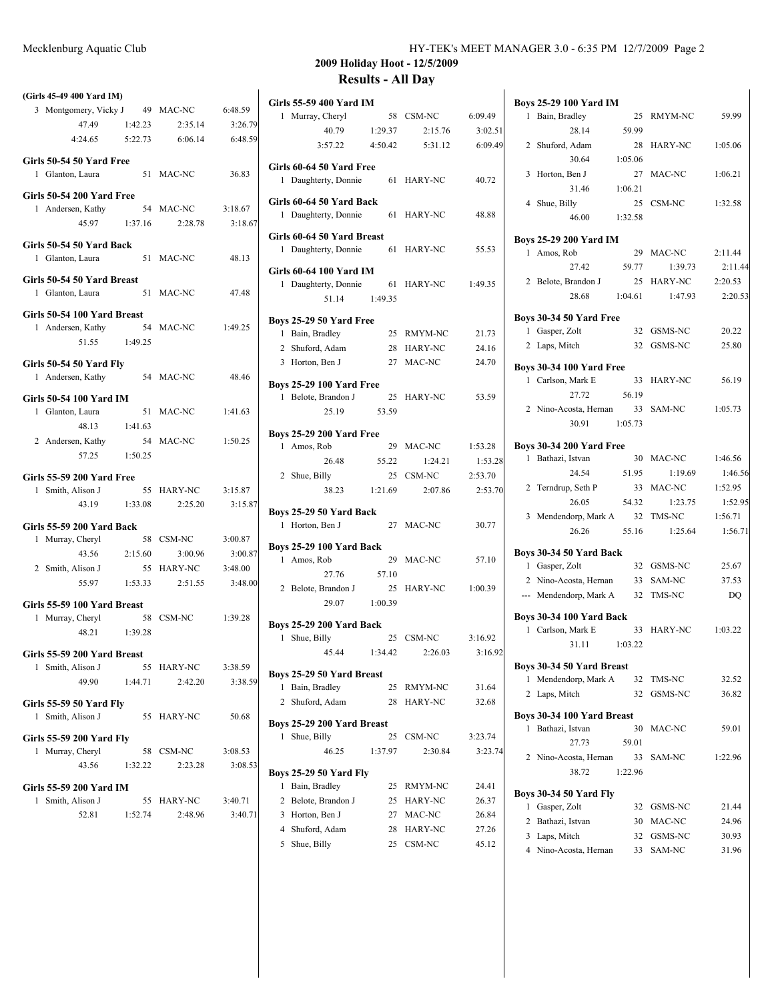|                                                  |         |           |         | ZUUY                                    |
|--------------------------------------------------|---------|-----------|---------|-----------------------------------------|
| (Girls 45-49 400 Yard IM)                        |         |           |         |                                         |
| 3 Montgomery, Vicky J 49 MAC-NC                  |         |           | 6:48.59 | Girls 55-59 400<br>1 Murray, Che        |
| 47.49                                            | 1:42.23 | 2:35.14   | 3:26.79 | 40.7                                    |
| 4:24.65                                          | 5:22.73 | 6:06.14   | 6:48.59 | 3:57.                                   |
| Girls 50-54 50 Yard Free<br>1 Glanton, Laura     |         | 51 MAC-NC | 36.83   | Girls 60-64 50 Y<br>1 Daughterty,       |
| Girls 50-54 200 Yard Free                        |         |           |         | Girls 60-64 50 Y                        |
| 1 Andersen, Kathy 54 MAC-NC                      |         |           | 3:18.67 | 1 Daughterty,                           |
| 45.97                                            | 1:37.16 | 2:28.78   | 3:18.67 |                                         |
| Girls 50-54 50 Yard Back<br>1 Glanton, Laura     |         | 51 MAC-NC | 48.13   | Girls 60-64 50 Y<br>1 Daughterty,       |
| Girls 50-54 50 Yard Breast<br>1 Glanton, Laura   | 51      | MAC-NC    | 47.48   | Girls 60-64 100<br>1 Daughterty,<br>51. |
| Girls 50-54 100 Yard Breast<br>1 Andersen, Kathy |         | 54 MAC-NC | 1:49.25 | <b>Boys 25-29 50 Y</b><br>1 Doin Deadla |

| Girls 50-54 50 Yard Fly<br>1 Andersen, Kathy | 54 MAC-NC | 48.46   |
|----------------------------------------------|-----------|---------|
| Girls 50-54 100 Yard IM                      |           |         |
| 1 Glanton, Laura                             | 51 MAC-NC | 1:41.63 |

51.55 1:49.25

| 48.13                            | 1:41.63 |            |         |
|----------------------------------|---------|------------|---------|
| 2 Andersen, Kathy                |         | 54 MAC-NC  | 1:50.25 |
| 57.25                            | 1:50.25 |            |         |
| <b>Girls 55-59 200 Yard Free</b> |         |            |         |
| Smith, Alison J<br>$\mathbf{1}$  |         | 55 HARY-NC | 3:15.87 |
| 43.19                            | 1:33.08 | 2:25.20    | 3:15.87 |
| <b>Girls 55-59 200 Yard Back</b> |         |            |         |
| Murray, Cheryl<br>1              | 58      | CSM-NC     | 3:00.87 |

| 43.56             | 2:15.60 | 3:00.96    | 3:00.87 |
|-------------------|---------|------------|---------|
| 2 Smith, Alison J |         | 55 HARY-NC | 3:48.00 |
| 55.97             | 1:53.33 | 2:51.55    | 3:48.00 |
|                   |         |            |         |

| Girls 55-59 100 Yard Breast     |         |            |         |
|---------------------------------|---------|------------|---------|
| 1 Murray, Cheryl                |         | 58 CSM-NC  | 1:39.28 |
| 48.21                           | 1:39.28 |            |         |
| Girls 55-59 200 Yard Breast     |         |            |         |
| 1 Smith, Alison J               |         | 55 HARY-NC | 3:38.59 |
| 49.90                           | 1:44.71 | 2:42.20    | 3:38.59 |
| <b>Girls 55-59 50 Yard Fly</b>  |         |            |         |
| Smith, Alison J<br>$\mathbf{1}$ |         | 55 HARY-NC | 50.68   |
| Girls 55-59 200 Yard Fly        |         |            |         |
| 1 Murray, Cheryl                |         | 58 CSM-NC  | 3:08.53 |
| 43.56                           | 1:32.22 | 2:23.28    | 3:08.53 |
| Girls 55-59 200 Yard IM         |         |            |         |
|                                 |         |            |         |

| 1 Smith, Alison J |         | 55 HARY-NC | 3:40.71 |
|-------------------|---------|------------|---------|
| 52.81             | 1:52.74 | 2.48.96    | 3:40.71 |

|   | Girls 55-59 400 Yard IM                    |         |                |         |
|---|--------------------------------------------|---------|----------------|---------|
| 1 | Murray, Cheryl                             |         | 58 CSM-NC      | 6:09.49 |
|   | 40.79                                      | 1:29.37 | 2:15.76        | 3:02.51 |
|   | 3:57.22                                    | 4:50.42 | 5:31.12        | 6:09.49 |
|   | Girls 60-64 50 Yard Free                   |         |                |         |
|   | 1 Daughterty, Donnie                       | 61      | HARY-NC        | 40.72   |
|   | Girls 60-64 50 Yard Back                   |         |                |         |
|   | 1 Daughterty, Donnie                       |         | 61 HARY-NC     | 48.88   |
|   | <b>Girls 60-64 50 Yard Breast</b>          |         |                |         |
|   | 1 Daughterty, Donnie                       |         | 61 HARY-NC     | 55.53   |
|   | Girls 60-64 100 Yard IM                    |         |                |         |
|   | 1 Daughterty, Donnie                       |         | 61 HARY-NC     | 1:49.35 |
|   | 51.14                                      | 1:49.35 |                |         |
|   | Boys 25-29 50 Yard Free                    |         |                |         |
|   | 1 Bain, Bradley                            |         | 25 RMYM-NC     | 21.73   |
|   | 2 Shuford, Adam                            |         | 28 HARY-NC     | 24.16   |
|   | 3 Horton, Ben J                            |         | 27 MAC-NC      | 24.70   |
|   |                                            |         |                |         |
|   | <b>Boys 25-29 100 Yard Free</b>            |         | 25 HARY-NC     | 53.59   |
|   | 1 Belote, Brandon J<br>25.19               | 53.59   |                |         |
|   |                                            |         |                |         |
|   | <b>Boys 25-29 200 Yard Free</b>            |         |                |         |
|   | 1 Amos, Rob                                |         | 29 MAC-NC      | 1:53.28 |
|   | 26.48                                      | 55.22   | 1:24.21        | 1:53.28 |
|   | 2 Shue, Billy                              |         | 25 CSM-NC      | 2:53.70 |
|   | 38.23                                      | 1:21.69 | 2:07.86        | 2:53.70 |
|   | Boys 25-29 50 Yard Back                    |         |                |         |
|   | 1 Horton, Ben J                            |         | 27 MAC-NC      | 30.77   |
|   | Boys 25-29 100 Yard Back                   |         |                |         |
|   | 1 Amos, Rob                                | 29      | MAC-NC         | 57.10   |
|   | 27.76                                      | 57.10   |                |         |
|   | 2 Belote, Brandon J                        | 25      | HARY-NC        | 1:00.39 |
|   | 29.07                                      | 1:00.39 |                |         |
|   | <b>Boys 25-29 200 Yard Back</b>            |         |                |         |
| 1 | Shue, Billy                                | 25      | CSM-NC         | 3:16.92 |
|   | 45.44                                      | 1:34.42 | 2:26.03        | 3:16.92 |
|   |                                            |         |                |         |
| 1 | Boys 25-29 50 Yard Breast<br>Bain, Bradley | 25      | RMYM-NC        | 31.64   |
| 2 | Shuford, Adam                              | 28      | HARY-NC        | 32.68   |
|   |                                            |         |                |         |
|   | Boys 25-29 200 Yard Breast                 |         |                |         |
| 1 | Shue, Billy                                | 25      | CSM-NC         | 3:23.74 |
|   | 46.25                                      | 1:37.97 | 2:30.84        | 3:23.74 |
|   | <b>Boys 25-29 50 Yard Fly</b>              |         |                |         |
| 1 | Bain, Bradley                              | 25      | RMYM-NC        | 24.41   |
|   | 2 Belote, Brandon J                        | 25      | HARY-NC        | 26.37   |
|   | 3 Horton, Ben J                            | 27      | MAC-NC         | 26.84   |
|   | 4 Shuford, Adam                            | 28      | <b>HARY-NC</b> | 27.26   |
|   | 5 Shue, Billy                              | 25      | CSM-NC         | 45.12   |

| <b>Boys 25-29 100 Yard IM</b>                       |                |         |
|-----------------------------------------------------|----------------|---------|
| Bain, Bradley<br>1<br>25                            | RMYM-NC        | 59.99   |
| 28.14<br>59.99                                      |                |         |
| 2<br>Shuford, Adam<br>28                            | <b>HARY-NC</b> | 1:05.06 |
| 30.64<br>1:05.06                                    |                |         |
| 3<br>Horton, Ben J                                  | 27 MAC-NC      | 1:06.21 |
| 31.46<br>1:06.21                                    |                |         |
| Shue, Billy<br>25<br>4                              | CSM-NC         | 1:32.58 |
| 46.00<br>1:32.58                                    |                |         |
| <b>Boys 25-29 200 Yard IM</b>                       |                |         |
| 1 Amos, Rob<br>29                                   | MAC-NC         | 2:11.44 |
| 27.42<br>59.77                                      | 1:39.73        | 2:11.44 |
| Belote, Brandon J<br>25<br>2                        | HARY-NC        | 2:20.53 |
| 28.68<br>1:04.61                                    | 1:47.93        | 2:20.53 |
| Boys 30-34 50 Yard Free                             |                |         |
| 1 Gasper, Zolt                                      | 32 GSMS-NC     | 20.22   |
| 2 Laps, Mitch<br>32                                 | GSMS-NC        | 25.80   |
| <b>Boys 30-34 100 Yard Free</b>                     |                |         |
| 1 Carlson, Mark E<br>33                             | <b>HARY-NC</b> | 56.19   |
| 27.72<br>56.19                                      |                |         |
| 2 Nino-Acosta, Hernan<br>33                         | SAM-NC         | 1:05.73 |
| 30.91 1:05.73                                       |                |         |
| <b>Boys 30-34 200 Yard Free</b>                     |                |         |
| 1 Bathazi, Istvan                                   | 30 MAC-NC      | 1:46.56 |
| 24.54<br>51.95                                      | 1:19.69        | 1:46.56 |
| 2 Terndrup, Seth P<br>33                            | MAC-NC         | 1:52.95 |
| 26.05<br>54.32                                      | 1:23.75        | 1:52.95 |
| 3 Mendendorp, Mark A<br>32                          | TMS-NC         | 1:56.71 |
| 26.26<br>55.16                                      | 1:25.64        | 1:56.71 |
| Boys 30-34 50 Yard Back                             |                |         |
| 1 Gasper, Zolt                                      | 32 GSMS-NC     | 25.67   |
| Nino-Acosta, Hernan<br>2                            | 33 SAM-NC      | 37.53   |
| --- Mendendorp, Mark A                              | 32 TMS-NC      | DO      |
|                                                     |                |         |
| Boys 30-34 100 Yard Back<br>1 Carlson, Mark E<br>33 | <b>HARY-NC</b> | 1:03.22 |
| 31.11<br>1:03.22                                    |                |         |
|                                                     |                |         |
| Boys 30-34 50 Yard Breast                           |                |         |
| Mendendorp, Mark A<br>32<br>1                       | TMS-NC         | 32.52   |
| Laps, Mitch<br>2<br>32                              | GSMS-NC        | 36.82   |
| Boys 30-34 100 Yard Breast                          |                |         |
| 1<br>Bathazi, Istvan<br>30                          | MAC-NC         | 59.01   |
| 27.73<br>59.01                                      |                |         |
| $\mathbf{2}$<br>Nino-Acosta, Hernan<br>33           | SAM-NC         | 1:22.96 |
| 38.72<br>1:22.96                                    |                |         |
| Boys 30-34 50 Yard Fly                              |                |         |
| 32<br>1<br>Gasper, Zolt                             | GSMS-NC        | 21.44   |
| 2<br>Bathazi, Istvan<br>30                          | MAC-NC         | 24.96   |
| 3 Laps, Mitch<br>32                                 | GSMS-NC        | 30.93   |
| 4 Nino-Acosta, Hernan<br>33                         | SAM-NC         | 31.96   |
|                                                     |                |         |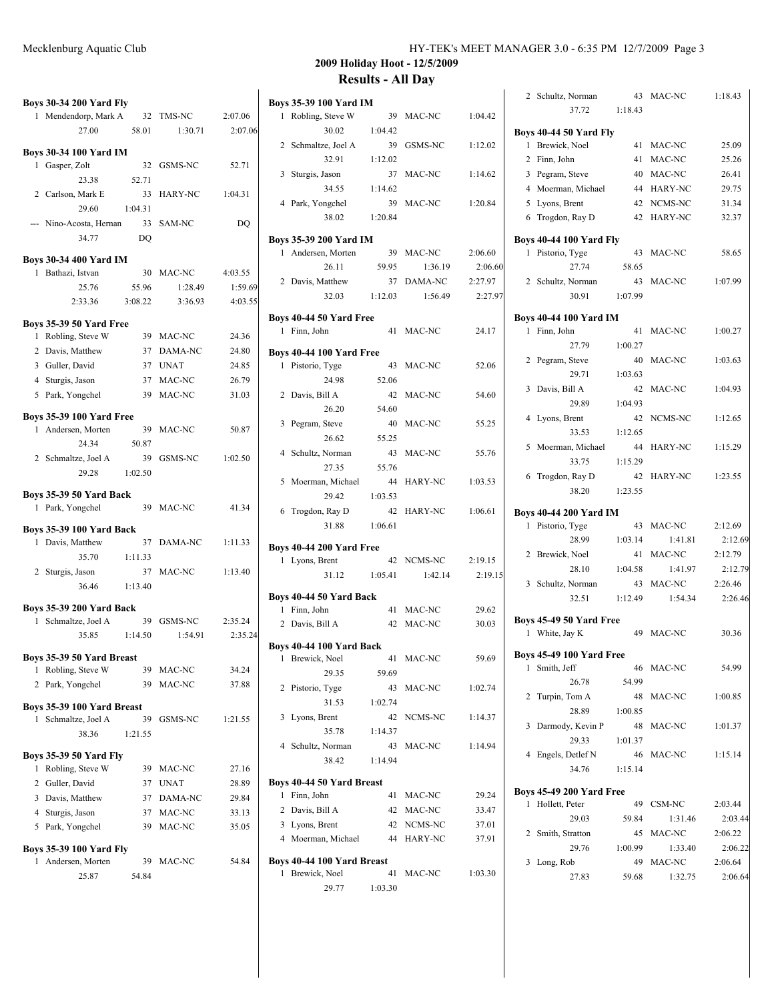| <b>Boys 30-34 200 Yard Fly</b>                                  |             |         |
|-----------------------------------------------------------------|-------------|---------|
| 1 Mendendorp, Mark A 32 TMS-NC                                  |             | 2:07.06 |
| 27.00<br>58.01                                                  | 1:30.71     | 2:07.06 |
| <b>Boys 30-34 100 Yard IM</b>                                   |             |         |
| 1 Gasper, Zolt<br>32                                            | GSMS-NC     | 52.71   |
| 23.38<br>52.71                                                  |             |         |
| 2 Carlson, Mark E<br>33                                         | HARY-NC     | 1:04.31 |
| 29.60<br>1:04.31                                                |             |         |
| --- Nino-Acosta, Hernan<br>33                                   | SAM-NC      | DQ      |
| 34.77<br>D <sub>O</sub>                                         |             |         |
| <b>Boys 30-34 400 Yard IM</b>                                   |             |         |
| 1 Bathazi, Istvan                                               | 30 MAC-NC   | 4:03.55 |
| 25.76<br>55.96                                                  | 1:28.49     | 1:59.69 |
| 2:33.36<br>3:08.22                                              | 3:36.93     | 4:03.55 |
|                                                                 |             |         |
| <b>Boys 35-39 50 Yard Free</b>                                  |             |         |
| Robling, Steve W<br>1                                           | 39 MAC-NC   | 24.36   |
| 2 Davis, Matthew<br>37                                          | DAMA-NC     | 24.80   |
| 3 Guller, David<br>37                                           | <b>UNAT</b> | 24.85   |
| 4 Sturgis, Jason<br>37                                          | MAC-NC      | 26.79   |
| 5 Park, Yongchel<br>39                                          | MAC-NC      | 31.03   |
| <b>Boys 35-39 100 Yard Free</b>                                 |             |         |
| 1 Andersen, Morten<br>39                                        | MAC-NC      | 50.87   |
| 24.34<br>50.87                                                  |             |         |
| 2 Schmaltze, Joel A<br>39                                       | GSMS-NC     | 1:02.50 |
| 29.28<br>1:02.50                                                |             |         |
|                                                                 |             |         |
| <b>Boys 35-39 50 Yard Back</b>                                  |             |         |
| 1 Park, Yongchel                                                | 39 MAC-NC   | 41.34   |
| <b>Boys 35-39 100 Yard Back</b>                                 |             |         |
| Davis, Matthew<br>37<br>1.                                      | DAMA-NC     | 1:11.33 |
| 35.70<br>1:11.33                                                |             |         |
| Sturgis, Jason<br>$\mathbf{2}$                                  | 37 MAC-NC   | 1:13.40 |
| 36.46<br>1:13.40                                                |             |         |
|                                                                 |             |         |
| <b>Boys 35-39 200 Yard Back</b><br>Schmaltze, Joel A<br>39<br>1 | GSMS-NC     | 2:35.24 |
| 35.85<br>1:14.50                                                | 1:54.91     | 2:35.24 |
|                                                                 |             |         |
| Boys 35-39 50 Yard Breast                                       |             |         |
| Robling, Steve W<br>1                                           | 39 MAC-NC   | 34.24   |
| 2 Park, Yongchel<br>39                                          | MAC-NC      | 37.88   |
| Boys 35-39 100 Yard Breast                                      |             |         |
| Schmaltze, Joel A<br>39<br>1                                    | GSMS-NC     | 1:21.55 |
| 38.36<br>1:21.55                                                |             |         |
|                                                                 |             |         |
| <b>Boys 35-39 50 Yard Fly</b>                                   |             |         |
| Robling, Steve W<br>39<br>1                                     | MAC-NC      | 27.16   |
| 2 Guller, David<br>37                                           | <b>UNAT</b> | 28.89   |
| 3 Davis, Matthew<br>37                                          | DAMA-NC     | 29.84   |
| 4 Sturgis, Jason<br>37                                          | MAC-NC      | 33.13   |
| 5 Park, Yongchel<br>39                                          | MAC-NC      | 35.05   |
| <b>Boys 35-39 100 Yard Fly</b>                                  |             |         |
| 1 Andersen, Morten                                              | 39 MAC-NC   | 54.84   |

25.87 54.84

| Mecklenburg Aquatic Club | HY-TEK's MEET MANAGER 3.0 - 6:35 PM 12/7/2009 Page 3 |
|--------------------------|------------------------------------------------------|
|--------------------------|------------------------------------------------------|

| Boys 35-39 100 Yard IM          |             |                |         |
|---------------------------------|-------------|----------------|---------|
| Robling, Steve W<br>1           |             | 39 MAC-NC      | 1:04.42 |
| 30.02                           | 1:04.42     |                |         |
| 2 Schmaltze, Joel A             | 39          | GSMS-NC        | 1:12.02 |
| 32.91                           | 1:12.02     |                |         |
| 3 Sturgis, Jason                |             | 37 MAC-NC      | 1:14.62 |
| 34.55                           | 1:14.62     |                |         |
| 4 Park, Yongchel                | 39          | MAC-NC         | 1:20.84 |
| 38.02                           | 1:20.84     |                |         |
| Boys 35-39 200 Yard IM          |             |                |         |
| 1 Andersen, Morten              | 39          | MAC-NC         | 2:06.60 |
| 26.11                           | 59.95       | 1:36.19        | 2:06.60 |
| 2 Davis, Matthew                |             | 37 DAMA-NC     | 2:27.97 |
| 32.03                           | 1:12.03     | 1:56.49        | 2:27.97 |
| Boys 40-44 50 Yard Free         |             |                |         |
| 1 Finn, John                    |             | 41 MAC-NC      | 24.17   |
|                                 |             |                |         |
| Boys 40-44 100 Yard Free        |             |                |         |
| 1 Pistorio, Tyge                | 43          | MAC-NC         | 52.06   |
| 24.98                           | 52.06       |                |         |
| 2 Davis, Bill A                 | 42          | MAC-NC         | 54.60   |
| 26.20                           | 54.60       |                |         |
| 3 Pegram, Steve                 | 40          | MAC-NC         | 55.25   |
| 26.62                           | 55.25<br>43 | MAC-NC         |         |
| 4 Schultz, Norman<br>27.35      | 55.76       |                | 55.76   |
| 5<br>Moerman, Michael           | 44          | HARY-NC        | 1:03.53 |
| 29.42                           | 1:03.53     |                |         |
| 6 Trogdon, Ray D                | 42          | HARY-NC        | 1:06.61 |
| 31.88                           | 1:06.61     |                |         |
|                                 |             |                |         |
| <b>Boys 40-44 200 Yard Free</b> |             |                |         |
| 1 Lyons, Brent                  |             | 42 NCMS-NC     | 2:19.15 |
| 31.12                           | 1:05.41     | 1:42.14        | 2:19.15 |
| Boys 40-44 50 Yard Back         |             |                |         |
| 1 Finn, John                    |             | 41 MAC-NC      | 29.62   |
| 2 Davis, Bill A                 |             | 42 MAC-NC      | 30.03   |
| Boys 40-44 100 Yard Back        |             |                |         |
| Brewick, Noel<br>1              | 41          | MAC-NC         | 59.69   |
| 29.35                           | 59.69       |                |         |
| 2<br>Pistorio, Tyge             | 43          | MAC-NC         | 1:02.74 |
| 31.53                           | 1:02.74     |                |         |
| 3<br>Lyons, Brent               |             | 42 NCMS-NC     | 1:14.37 |
| 35.78                           | 1:14.37     |                |         |
| 4<br>Schultz, Norman            | 43          | MAC-NC         | 1:14.94 |
| 38.42                           | 1:14.94     |                |         |
| Boys 40-44 50 Yard Breast       |             |                |         |
| 1 Finn, John                    |             | 41 MAC-NC      | 29.24   |
| 2 Davis, Bill A                 |             | 42 MAC-NC      | 33.47   |
| 3 Lyons, Brent                  |             | 42 NCMS-NC     | 37.01   |
| 4 Moerman, Michael              | 44          | <b>HARY-NC</b> | 37.91   |
|                                 |             |                |         |
| Boys 40-44 100 Yard Breast      |             |                |         |
| 1 Brewick, Noel                 | 41          | MAC-NC         | 1:03.30 |
| 29.77 1:03.30                   |             |                |         |

| Schultz, Norman<br>2                                 | 43            | MAC-NC         | 1:18.43 |
|------------------------------------------------------|---------------|----------------|---------|
| 37.72                                                | 1:18.43       |                |         |
| <b>Boys 40-44 50 Yard Fly</b>                        |               |                |         |
| 1 Brewick, Noel                                      | 41            | MAC-NC         | 25.09   |
| 2 Finn, John                                         | 41            | MAC-NC         | 25.26   |
| 3 Pegram, Steve                                      | 40            | MAC-NC         | 26.41   |
| 4 Moerman, Michael                                   | 44            | <b>HARY-NC</b> | 29.75   |
| 5 Lyons, Brent                                       | 42            | NCMS-NC        | 31.34   |
| 6 Trogdon, Ray D                                     | 42            | <b>HARY-NC</b> | 32.37   |
|                                                      |               |                |         |
| <b>Boys 40-44 100 Yard Fly</b>                       |               |                |         |
| 1 Pistorio, Tyge<br>27.74                            | 43            | MAC-NC         | 58.65   |
|                                                      | 58.65         |                |         |
| 2 Schultz, Norman<br>30.91                           | 43<br>1:07.99 | MAC-NC         | 1:07.99 |
|                                                      |               |                |         |
| <b>Boys 40-44 100 Yard IM</b>                        |               |                |         |
| Finn, John<br>1                                      | 41            | MAC-NC         | 1:00.27 |
| 27.79                                                | 1:00.27       |                |         |
| 2 Pegram, Steve                                      | 40            | MAC-NC         | 1:03.63 |
| 29.71                                                | 1:03.63       |                |         |
| 3 Davis, Bill A                                      | 42            | MAC-NC         | 1:04.93 |
| 29.89                                                | 1:04.93       |                |         |
| 4 Lyons, Brent                                       | 42            | NCMS-NC        | 1:12.65 |
| 33.53                                                | 1:12.65       |                |         |
| Moerman, Michael<br>5                                | 44            | <b>HARY-NC</b> | 1:15.29 |
| 33.75                                                | 1:15.29       |                |         |
| 6 Trogdon, Ray D                                     | 42            | <b>HARY-NC</b> | 1:23.55 |
| 38.20                                                | 1:23.55       |                |         |
|                                                      |               |                |         |
| <b>Boys 40-44 200 Yard IM</b><br>1<br>Pistorio, Tyge | 43            | MAC-NC         | 2:12.69 |
| 28.99                                                | 1:03.14       | 1:41.81        | 2:12.69 |
| 2 Brewick, Noel                                      | 41            | MAC-NC         | 2:12.79 |
| 28.10                                                | 1:04.58       | 1:41.97        | 2:12.79 |
| Schultz, Norman<br>3                                 | 43            | MAC-NC         | 2:26.46 |
| 32.51                                                | 1:12.49       | 1:54.34        | 2:26.46 |
|                                                      |               |                |         |
| Boys 45-49 50 Yard Free                              |               |                |         |
| 1 White, Jay K                                       | 49            | MAC-NC         | 30.36   |
| <b>Boys 45-49 100 Yard Free</b>                      |               |                |         |
| 1 Smith, Jeff                                        | 46            | MAC-NC         | 54.99   |
| 26.78                                                | 54.99         |                |         |
| 2<br>Turpin, Tom A                                   | 48            | MAC-NC         | 1:00.85 |
| 28.89                                                | 1:00.85       |                |         |
| 3<br>Darmody, Kevin P                                |               | 48 MAC-NC      | 1:01.37 |
| 29.33                                                | 1:01.37       |                |         |
| 4 Engels, Detlef N                                   | 46            | MAC-NC         | 1:15.14 |
| 34.76                                                | 1:15.14       |                |         |
|                                                      |               |                |         |
| <b>Boys 45-49 200 Yard Free</b>                      |               |                |         |
| 1 Hollett, Peter                                     | 49            | CSM-NC         | 2:03.44 |
| 29.03                                                | 59.84         | 1:31.46        | 2:03.44 |
| 2<br>Smith, Stratton                                 | 45            | MAC-NC         | 2:06.22 |
| 29.76                                                | 1:00.99       | 1:33.40        | 2:06.22 |
| Long, Rob<br>3                                       | 49            | MAC-NC         | 2:06.64 |
| 27.83                                                | 59.68         | 1:32.75        | 2:06.64 |
|                                                      |               |                |         |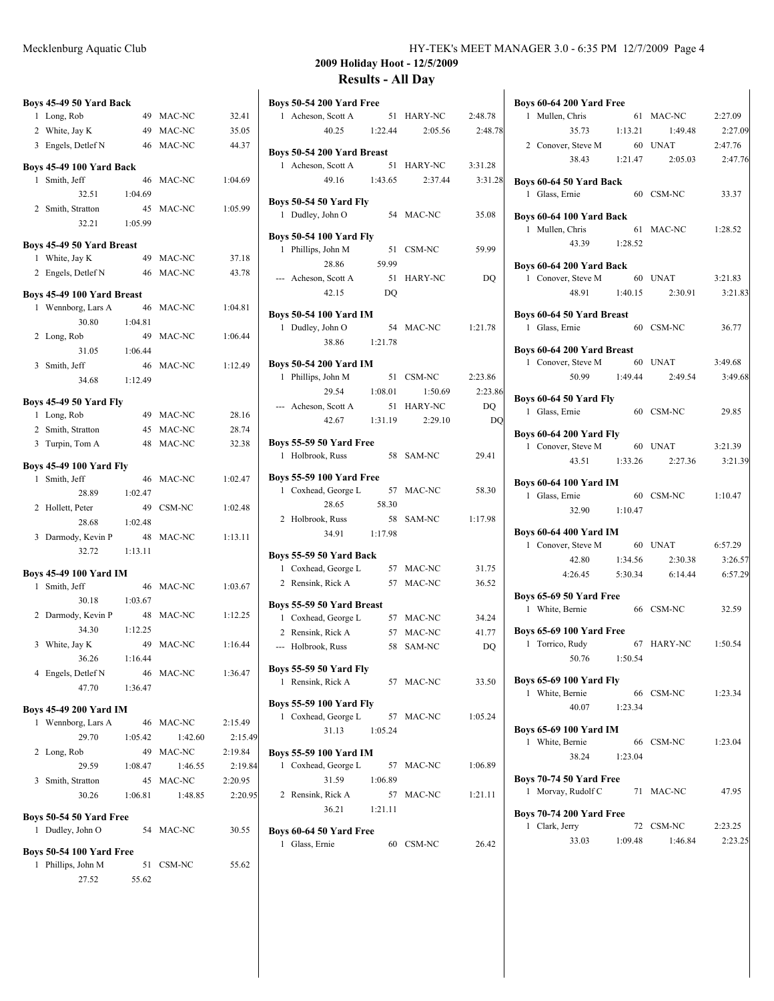|                | Boys 45-49 50 Yard Back        |         |           |         |
|----------------|--------------------------------|---------|-----------|---------|
|                | 1 Long, Rob                    | 49      | MAC-NC    | 32.41   |
|                | 2 White, Jay K                 | 49      | MAC-NC    | 35.05   |
|                | 3 Engels, Detlef N             | 46      | MAC-NC    | 44.37   |
|                | Boys 45-49 100 Yard Back       |         |           |         |
|                | 1 Smith, Jeff                  | 46      | MAC-NC    | 1:04.69 |
|                | 32.51                          | 1:04.69 |           |         |
|                | 2 Smith, Stratton              | 45      | MAC-NC    | 1:05.99 |
|                | 32.21                          | 1:05.99 |           |         |
|                | Boys 45-49 50 Yard Breast      |         |           |         |
|                | 1 White, Jay K                 | 49      | MAC-NC    | 37.18   |
|                | 2 Engels, Detlef N 46          |         | MAC-NC    | 43.78   |
|                | Boys 45-49 100 Yard Breast     |         |           |         |
|                | 1 Wennborg, Lars A             | 46      | MAC-NC    | 1:04.81 |
|                | 30.80 1:04.81                  |         |           |         |
|                | 2 Long, Rob                    | 49      | MAC-NC    | 1:06.44 |
|                | 31.05                          | 1:06.44 |           |         |
|                | 3 Smith, Jeff                  |         | 46 MAC-NC | 1:12.49 |
|                | 34.68 1:12.49                  |         |           |         |
|                | <b>Boys 45-49 50 Yard Fly</b>  |         |           |         |
|                | 1 Long, Rob                    |         | 49 MAC-NC | 28.16   |
|                | 2 Smith, Stratton              |         | 45 MAC-NC | 28.74   |
|                | 3 Turpin, Tom A                | 48      | MAC-NC    | 32.38   |
|                | <b>Boys 45-49 100 Yard Fly</b> |         |           |         |
|                | 1 Smith, Jeff                  | 46      | MAC-NC    | 1:02.47 |
|                | 28.89 1:02.47                  |         |           |         |
| $\overline{2}$ | Hollett, Peter                 | 49      | CSM-NC    | 1:02.48 |
|                | 28.68                          | 1:02.48 |           |         |
|                | 3 Darmody, Kevin P 48 MAC-NC   |         |           | 1:13.11 |
|                | 32.72                          | 1:13.11 |           |         |
|                | <b>Boys 45-49 100 Yard IM</b>  |         |           |         |
|                | 1 Smith, Jeff                  | 46      | MAC-NC    | 1:03.67 |
|                | 30.18                          | 1:03.67 |           |         |
|                | 2 Darmody, Kevin P             | 48      | MAC-NC    | 1:12.25 |
|                | 34.30                          | 1:12.25 |           |         |
| 3              | White, Jay K                   | 49      | MAC-NC    | 1:16.44 |
|                | 36.26                          | 1:16.44 |           |         |
|                | 4 Engels, Detlef N             | 46      | MAC-NC    | 1:36.47 |
|                | 47.70                          | 1:36.47 |           |         |
|                | Boys 45-49 200 Yard IM         |         |           |         |
| 1              | Wennborg, Lars A               | 46      | MAC-NC    | 2:15.49 |
|                | 29.70                          | 1:05.42 | 1:42.60   | 2:15.49 |
| 2              | Long, Rob                      | 49      | MAC-NC    | 2:19.84 |
|                | 29.59                          | 1:08.47 | 1:46.55   | 2:19.84 |
| 3              | Smith, Stratton                | 45      | MAC-NC    | 2:20.95 |
|                | 30.26                          | 1:06.81 | 1:48.85   | 2:20.95 |
|                | Boys 50-54 50 Yard Free        |         |           |         |
| 1              | Dudley, John O                 | 54      | MAC-NC    | 30.55   |
|                |                                |         |           |         |

### **Boys 50-54 100 Yard Free**

| 1 Phillips, John M | 51 CSM-NC | 55.62 |
|--------------------|-----------|-------|
| 27.52              | 55.62     |       |

| <b>Boys 50-54 200 Yard Free</b>                |         |                     |         |
|------------------------------------------------|---------|---------------------|---------|
| 1 Acheson, Scott A                             |         | 51 HARY-NC          | 2:48.78 |
| 40.25                                          | 1:22.44 | 2:05.56             | 2:48.78 |
| Boys 50-54 200 Yard Breast                     |         |                     |         |
| 1 Acheson, Scott A                             | 51      | HARY-NC             | 3:31.28 |
| 49.16                                          | 1:43.65 | 2:37.44             | 3:31.28 |
| <b>Boys 50-54 50 Yard Fly</b>                  |         |                     |         |
| 1 Dudley, John O                               |         | 54 MAC-NC           | 35.08   |
| <b>Boys 50-54 100 Yard Fly</b>                 |         |                     |         |
| 1 Phillips, John M                             | 51      | CSM-NC              | 59.99   |
| 28.86                                          | 59.99   |                     |         |
| --- Acheson, Scott A                           | 51      | HARY-NC             | DQ      |
| 42.15                                          | DO      |                     |         |
| <b>Boys 50-54 100 Yard IM</b>                  |         |                     |         |
| 1 Dudley, John O                               | 54      | MAC-NC              | 1:21.78 |
| 38.86 1:21.78                                  |         |                     |         |
| <b>Boys 50-54 200 Yard IM</b>                  |         |                     |         |
| Phillips, John M<br>1                          | 51      | CSM-NC              | 2:23.86 |
| 29.54                                          | 1:08.01 | 1:50.69             | 2:23.86 |
| --- Acheson, Scott A                           | 51      | <b>HARY-NC</b>      | DO      |
| 42.67                                          |         | $1:31.19$ $2:29.10$ | DQ      |
| <b>Boys 55-59 50 Yard Free</b>                 |         |                     |         |
| 1 Holbrook, Russ                               |         | 58 SAM-NC           | 29.41   |
| <b>Boys 55-59 100 Yard Free</b>                |         |                     |         |
| 1 Coxhead, George L                            | 57      | MAC-NC              | 58.30   |
| 28.65                                          | 58.30   |                     |         |
| 2 Holbrook, Russ                               | 58      | SAM-NC              | 1:17.98 |
| 34.91 1:17.98                                  |         |                     |         |
|                                                |         |                     |         |
| Boys 55-59 50 Yard Back<br>1 Coxhead, George L |         | 57 MAC-NC           | 31.75   |
| 2 Rensink, Rick A                              |         | 57 MAC-NC           | 36.52   |
|                                                |         |                     |         |
| Boys 55-59 50 Yard Breast                      |         |                     |         |
| 1 Coxhead, George L                            |         | 57 MAC-NC           | 34.24   |
| 2 Rensink, Rick A                              | 57      | MAC-NC              | 41.77   |
| --- Holbrook, Russ                             | 58      | SAM-NC              | DQ      |
| <b>Boys 55-59 50 Yard Fly</b>                  |         |                     |         |
| 1 Rensink, Rick A                              |         | 57 MAC-NC           | 33.50   |
| <b>Boys 55-59 100 Yard Fly</b>                 |         |                     |         |
| 1 Coxhead, George L                            |         | 57 MAC-NC           | 1:05.24 |
| 31.13                                          | 1:05.24 |                     |         |
| <b>Boys 55-59 100 Yard IM</b>                  |         |                     |         |
| 1 Coxhead, George L                            | 57      | MAC-NC              | 1:06.89 |
| 31.59                                          | 1:06.89 |                     |         |
| 2 Rensink, Rick A                              | 57      | MAC-NC              | 1:21.11 |
| 36.21                                          | 1:21.11 |                     |         |
|                                                |         |                     |         |
| Boys 60-64 50 Yard Free<br>1 Glass, Ernie      |         | 60 CSM-NC           | 26.42   |
|                                                |         |                     |         |

| <b>Boys 60-64 200 Yard Free</b><br>1 Mullen, Chris |         |                         |                    |
|----------------------------------------------------|---------|-------------------------|--------------------|
|                                                    |         | 61 MAC-NC               | 2:27.09            |
| 35.73 1:13.21                                      |         | 1:49.48                 | 2:27.09            |
| 2 Conover, Steve M                                 |         | 60 UNAT                 | 2:47.76            |
| 1:21.47<br>38.43                                   |         | 2:05.03                 | 2:47.76            |
|                                                    |         |                         |                    |
| Boys 60-64 50 Yard Back                            |         |                         |                    |
| 1 Glass, Ernie                                     |         | 60 CSM-NC               | 33.37              |
| Boys 60-64 100 Yard Back                           |         |                         |                    |
| 1 Mullen. Chris                                    |         | 61 MAC-NC               | 1:28.52            |
| 43.39 1:28.52                                      |         |                         |                    |
| <b>Boys 60-64 200 Yard Back</b>                    |         |                         |                    |
| 1 Conover, Steve M                                 |         | 60 UNAT                 | 3:21.83            |
| 48.91                                              |         | $1:40.15$ $2:30.91$     | 3:21.83            |
|                                                    |         |                         |                    |
| Boys 60-64 50 Yard Breast<br>1 Glass, Ernie        |         | 60 CSM-NC               | 36.77              |
|                                                    |         |                         |                    |
| Boys 60-64 200 Yard Breast                         |         |                         |                    |
| 1 Conover, Steve M 60 UNAT                         |         |                         | 3:49.68            |
|                                                    |         | 50.99 1:49.44 2:49.54   | 3:49.68            |
| <b>Boys 60-64 50 Yard Fly</b>                      |         |                         |                    |
| 1 Glass, Ernie                                     |         | 60 CSM-NC               | 29.85              |
| <b>Boys 60-64 200 Yard Fly</b>                     |         |                         |                    |
| 1 Conover, Steve M                                 |         | 60 UNAT                 | 3:21.39            |
|                                                    |         | 43.51 1:33.26 2:27.36   | 3:21.39            |
|                                                    |         |                         |                    |
| <b>Boys 60-64 100 Yard IM</b>                      |         |                         |                    |
| 1 Glass, Ernie                                     |         | 60 CSM-NC 1:10.47       |                    |
| 32.90 1:10.47                                      |         |                         |                    |
|                                                    |         |                         |                    |
| <b>Boys 60-64 400 Yard IM</b>                      |         |                         |                    |
| 1 Conover, Steve M 60 UNAT                         |         |                         | 6:57.29            |
| 42.80                                              | 1:34.56 | 2:30.38                 | 3:26.57            |
|                                                    |         | 4:26.45 5:30.34 6:14.44 | 6:57.29            |
|                                                    |         |                         |                    |
| Boys 65-69 50 Yard Free<br>1 White, Bernie         |         | 66 CSM-NC               | 32.59              |
|                                                    |         |                         |                    |
| <b>Boys 65-69 100 Yard Free</b>                    |         |                         |                    |
| 1 Torrico, Rudy                                    |         | 67 HARY-NC 1:50.54      |                    |
| 50.76                                              | 1:50.54 |                         |                    |
| <b>Boys 65-69 100 Yard Fly</b>                     |         |                         |                    |
| 1 White, Bernie                                    |         | 66 CSM-NC               | 1:23.34            |
| 40.07                                              | 1:23.34 |                         |                    |
| Boys 65-69 100 Yard IM                             |         |                         |                    |
| 1 White, Bernie                                    |         | 66 CSM-NC               | 1:23.04            |
| 38.24 1:23.04                                      |         |                         |                    |
|                                                    |         |                         |                    |
| <b>Boys 70-74 50 Yard Free</b>                     |         |                         |                    |
| 1 Morvay, Rudolf C                                 |         | 71 MAC-NC               | 47.95              |
| <b>Boys 70-74 200 Yard Free</b>                    |         |                         |                    |
| Clark, Jerry<br>1<br>33.03                         | 1:09.48 | 72 CSM-NC<br>1:46.84    | 2:23.25<br>2:23.25 |